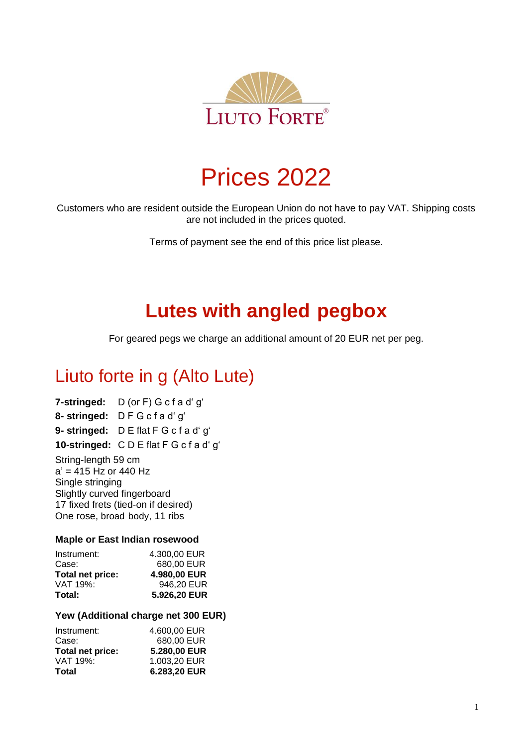

# Prices 2022

Customers who are resident outside the European Union do not have to pay VAT. Shipping costs are not included in the prices quoted.

Terms of payment see the end of this price list please.

# **Lutes with angled pegbox**

For geared pegs we charge an additional amount of 20 EUR net per peg.

# Liuto forte in g (Alto Lute)

**7-stringed:** D (or F) G c f a d' g' **8- stringed:** D F G c f a d' g' **9- stringed:** D E flat F G c f a d' g' **10-stringed:** C D E flat F G c f a d' g'

String-length 59 cm  $a' = 415$  Hz or 440 Hz Single stringing Slightly curved fingerboard 17 fixed frets (tied-on if desired) One rose, broad body, 11 ribs

#### **Maple or East Indian rosewood**

| 4.300.00 EUR |
|--------------|
| 680,00 EUR   |
| 4.980,00 EUR |
| 946,20 EUR   |
| 5.926,20 EUR |
|              |

#### **Yew (Additional charge net 300 EUR)**

| Instrument:      | 4.600.00 EUR |
|------------------|--------------|
| Case:            | 680,00 EUR   |
| Total net price: | 5.280,00 EUR |
| VAT 19%:         | 1.003,20 EUR |
| Total            | 6.283,20 EUR |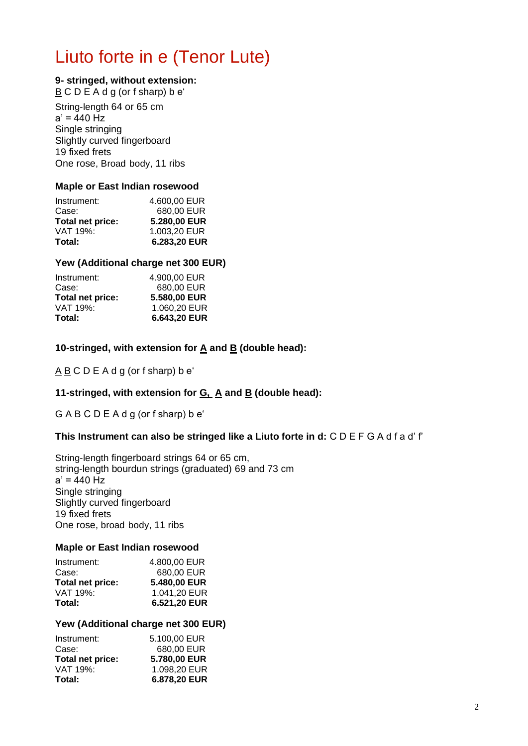# Liuto forte in e (Tenor Lute)

#### **9- stringed, without extension:**

 $\underline{B}$  C D E A d g (or f sharp) b e'

String-length 64 or 65 cm  $a' = 440$  Hz Single stringing Slightly curved fingerboard 19 fixed frets One rose, Broad body, 11 ribs

#### **Maple or East Indian rosewood**

| Total:           | 6.283,20 EUR |
|------------------|--------------|
| VAT 19%:         | 1.003,20 EUR |
| Total net price: | 5.280,00 EUR |
| Case:            | 680,00 EUR   |
| Instrument:      | 4.600,00 EUR |
|                  |              |

#### **Yew (Additional charge net 300 EUR)**

| Instrument:      | 4.900,00 EUR |
|------------------|--------------|
| Case:            | 680,00 EUR   |
| Total net price: | 5.580,00 EUR |
| VAT 19%:         | 1.060,20 EUR |
| Total:           | 6.643,20 EUR |

**10-stringed, with extension for A and B (double head):**

A B C D E A d g (or f sharp) b e'

#### **11-stringed, with extension for G, A and B (double head):**

G A B C D E A d g (or f sharp) b e'

#### **This Instrument can also be stringed like a Liuto forte in d:** C D E F G A d f a d' f'

String-length fingerboard strings 64 or 65 cm, string-length bourdun strings (graduated) 69 and 73 cm  $a' = 440$  Hz Single stringing Slightly curved fingerboard 19 fixed frets One rose, broad body, 11 ribs

#### **Maple or East Indian rosewood**

| Instrument:      | 4.800,00 EUR |
|------------------|--------------|
| Case:            | 680,00 EUR   |
| Total net price: | 5.480,00 EUR |
| VAT 19%:         | 1.041,20 EUR |
| Total:           | 6.521,20 EUR |

#### **Yew (Additional charge net 300 EUR)**

| VAT 19%:<br>Total: | 1.098,20 EUR<br>6.878,20 EUR |
|--------------------|------------------------------|
| Total net price:   | 5.780,00 EUR                 |
| Case:              | 680,00 EUR                   |
| Instrument:        | 5.100,00 EUR                 |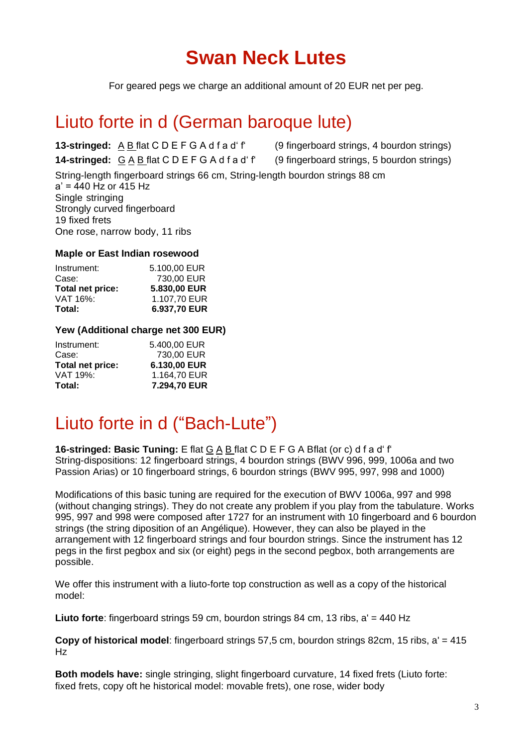# **Swan Neck Lutes**

For geared pegs we charge an additional amount of 20 EUR net per peg.

### Liuto forte in d (German baroque lute)

**13-stringed:** A B flat C D E F G A d f a d' f' (9 fingerboard strings, 4 bourdon strings) **14-stringed:** G A B flat C D E F G A d f a d' f' (9 fingerboard strings, 5 bourdon strings) String-length fingerboard strings 66 cm, String-length bourdon strings 88 cm a' = 440 Hz or 415 Hz Single stringing Strongly curved fingerboard 19 fixed frets One rose, narrow body, 11 ribs

#### **Maple or East Indian rosewood**

| 1.107,70 EUR |              |
|--------------|--------------|
|              |              |
| 5.830,00 EUR |              |
| 730,00 EUR   |              |
|              |              |
|              | 5.100.00 EUR |

#### **Yew (Additional charge net 300 EUR)**

| 7.294,70 EUR |
|--------------|
| 1.164,70 EUR |
| 6.130,00 EUR |
| 730,00 EUR   |
| 5.400,00 EUR |
|              |

## Liuto forte in d ("Bach-Lute")

**16-stringed: Basic Tuning:** E flat G A B flat C D E F G A Bflat (or c) d f a d' f' String-dispositions: 12 fingerboard strings, 4 bourdon strings (BWV 996, 999, 1006a and two Passion Arias) or 10 fingerboard strings, 6 bourdon strings (BWV 995, 997, 998 and 1000)

Modifications of this basic tuning are required for the execution of BWV 1006a, 997 and 998 (without changing strings). They do not create any problem if you play from the tabulature. Works 995, 997 and 998 were composed after 1727 for an instrument with 10 fingerboard and 6 bourdon strings (the string diposition of an Angélique). However, they can also be played in the arrangement with 12 fingerboard strings and four bourdon strings. Since the instrument has 12 pegs in the first pegbox and six (or eight) pegs in the second pegbox, both arrangements are possible.

We offer this instrument with a liuto-forte top construction as well as a copy of the historical model:

**Liuto forte**: fingerboard strings 59 cm, bourdon strings 84 cm, 13 ribs, a' = 440 Hz

**Copy of historical model**: fingerboard strings 57,5 cm, bourdon strings 82cm, 15 ribs, a' = 415 Hz

**Both models have:** single stringing, slight fingerboard curvature, 14 fixed frets (Liuto forte: fixed frets, copy oft he historical model: movable frets), one rose, wider body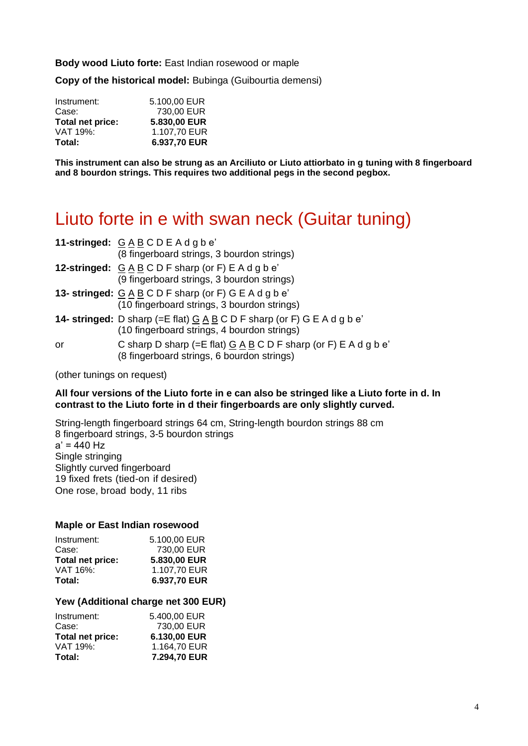**Body wood Liuto forte:** East Indian rosewood or maple

**Copy of the historical model:** Bubinga (Guibourtia demensi)

| Total:           | 6.937,70 EUR |
|------------------|--------------|
| VAT 19%:         | 1.107.70 EUR |
| Total net price: | 5.830,00 EUR |
| Case:            | 730,00 EUR   |
| Instrument:      | 5.100.00 EUR |

**This instrument can also be strung as an Arciliuto or Liuto attiorbato in g tuning with 8 fingerboard and 8 bourdon strings. This requires two additional pegs in the second pegbox.**

### Liuto forte in e with swan neck (Guitar tuning)

|    | 11-stringed: GABCDEAdgbe'<br>(8 fingerboard strings, 3 bourdon strings)                                                                       |
|----|-----------------------------------------------------------------------------------------------------------------------------------------------|
|    | 12-stringed: GABCDF sharp (or F) EAdgbe'<br>(9 fingerboard strings, 3 bourdon strings)                                                        |
|    | 13- stringed: $G \triangle B C D F$ sharp (or F) GE Adgbe'<br>(10 fingerboard strings, 3 bourdon strings)                                     |
|    | <b>14- stringed:</b> D sharp (=E flat) $G \land B \subseteq C$ D F sharp (or F) G E A d g b e'<br>(10 fingerboard strings, 4 bourdon strings) |
| or | C sharp D sharp (=E flat) $G \land B \subseteq D$ F sharp (or F) E A d g b e'<br>(8 fingerboard strings, 6 bourdon strings)                   |

(other tunings on request)

#### **All four versions of the Liuto forte in e can also be stringed like a Liuto forte in d. In contrast to the Liuto forte in d their fingerboards are only slightly curved.**

String-length fingerboard strings 64 cm, String-length bourdon strings 88 cm 8 fingerboard strings, 3-5 bourdon strings  $a' = 440$  Hz Single stringing Slightly curved fingerboard 19 fixed frets (tied-on if desired) One rose, broad body, 11 ribs

#### **Maple or East Indian rosewood**

| Total:           | 6.937,70 EUR |
|------------------|--------------|
| VAT 16%:         | 1.107,70 EUR |
| Total net price: | 5.830,00 EUR |
| Case:            | 730,00 EUR   |
| Instrument:      | 5.100.00 EUR |
|                  |              |

#### **Yew (Additional charge net 300 EUR)**

| Instrument:      | 5.400.00 EUR |
|------------------|--------------|
| Case:            | 730,00 EUR   |
| Total net price: | 6.130,00 EUR |
| VAT 19%:         | 1.164,70 EUR |
| Total:           | 7.294,70 EUR |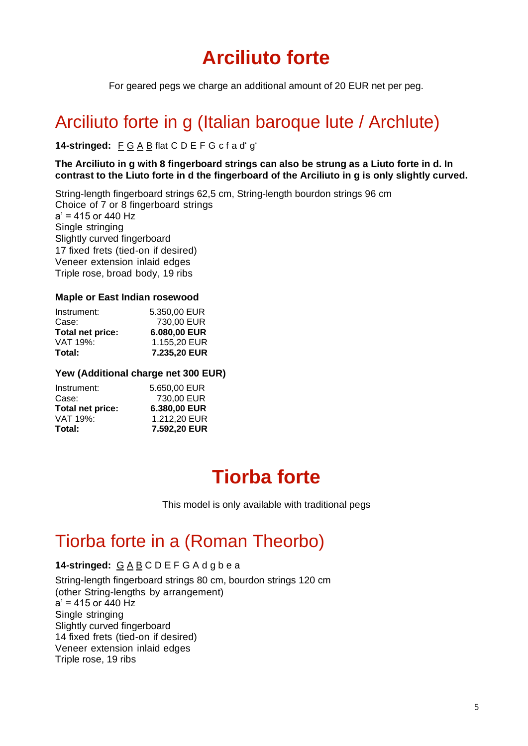# **Arciliuto forte**

For geared pegs we charge an additional amount of 20 EUR net per peg.

## Arciliuto forte in g (Italian baroque lute / Archlute)

#### **14-stringed:** F G A B flat C D E F G c f a d' g'

#### **The Arciliuto in g with 8 fingerboard strings can also be strung as a Liuto forte in d. In contrast to the Liuto forte in d the fingerboard of the Arciliuto in g is only slightly curved.**

String-length fingerboard strings 62,5 cm, String-length bourdon strings 96 cm Choice of 7 or 8 fingerboard strings  $a' = 415$  or 440 Hz Single stringing Slightly curved fingerboard 17 fixed frets (tied-on if desired) Veneer extension inlaid edges Triple rose, broad body, 19 ribs

#### **Maple or East Indian rosewood**

| Instrument:      | 5.350.00 EUR |
|------------------|--------------|
| Case:            | 730,00 EUR   |
| Total net price: | 6.080,00 EUR |
| VAT 19%:         | 1.155,20 EUR |
| Total:           | 7.235,20 EUR |

#### **Yew (Additional charge net 300 EUR)**

| Total:           | 7.592,20 EUR |
|------------------|--------------|
| VAT 19%:         | 1.212.20 EUR |
| Total net price: | 6.380,00 EUR |
| Case:            | 730,00 EUR   |
| Instrument:      | 5.650.00 EUR |

# **Tiorba forte**

This model is only available with traditional pegs

### Tiorba forte in a (Roman Theorbo)

#### **14-stringed:** G A B C D E F G A d g b e a

String-length fingerboard strings 80 cm, bourdon strings 120 cm (other String-lengths by arrangement)  $a' = 415$  or  $\overline{440}$  Hz Single stringing Slightly curved fingerboard 14 fixed frets (tied-on if desired) Veneer extension inlaid edges Triple rose, 19 ribs